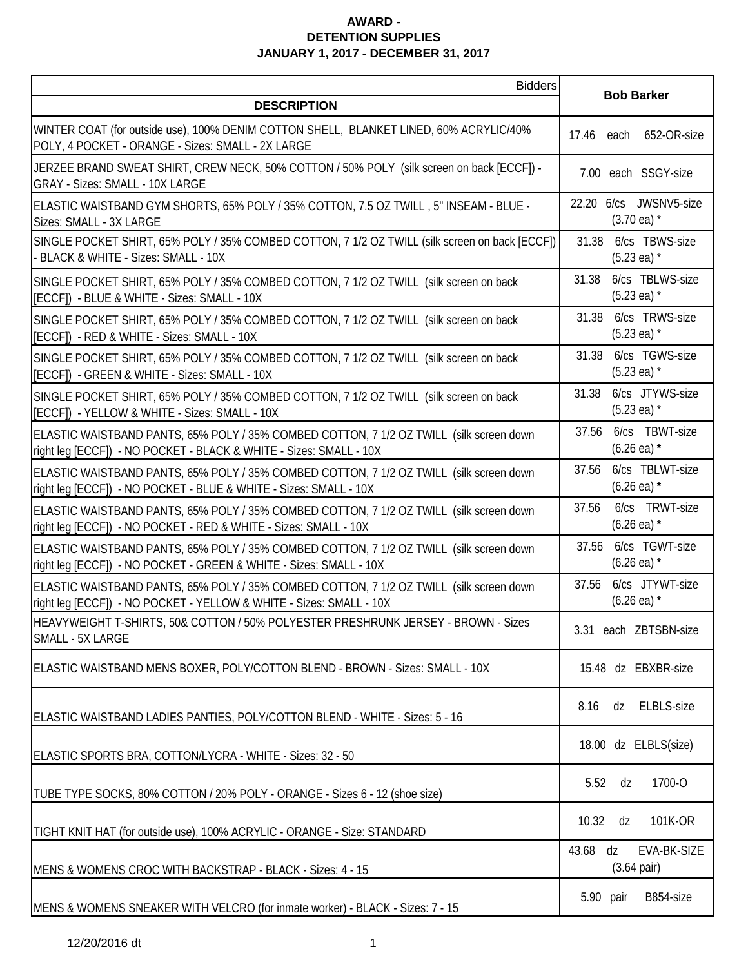| <b>Bidders</b>                                                                                                                                                 | <b>Bob Barker</b>                                 |
|----------------------------------------------------------------------------------------------------------------------------------------------------------------|---------------------------------------------------|
| <b>DESCRIPTION</b>                                                                                                                                             |                                                   |
| WINTER COAT (for outside use), 100% DENIM COTTON SHELL, BLANKET LINED, 60% ACRYLIC/40%<br>POLY, 4 POCKET - ORANGE - Sizes: SMALL - 2X LARGE                    | 652-OR-size<br>17.46 each                         |
| JERZEE BRAND SWEAT SHIRT, CREW NECK, 50% COTTON / 50% POLY (silk screen on back [ECCF]) -<br><b>GRAY - Sizes: SMALL - 10X LARGE</b>                            | 7.00 each SSGY-size                               |
| ELASTIC WAISTBAND GYM SHORTS, 65% POLY / 35% COTTON, 7.5 OZ TWILL, 5" INSEAM - BLUE -<br>Sizes: SMALL - 3X LARGE                                               | 22.20 6/cs JWSNV5-size<br>$(3.70 \text{ ea})$ *   |
| SINGLE POCKET SHIRT, 65% POLY / 35% COMBED COTTON, 7 1/2 OZ TWILL (silk screen on back [ECCF])<br>- BLACK & WHITE - Sizes: SMALL - 10X                         | 6/cs TBWS-size<br>31.38<br>$(5.23 \text{ ea})$ *  |
| SINGLE POCKET SHIRT, 65% POLY / 35% COMBED COTTON, 7 1/2 OZ TWILL (silk screen on back<br>[ECCF]) - BLUE & WHITE - Sizes: SMALL - 10X                          | 6/cs TBLWS-size<br>31.38<br>$(5.23 \text{ ea})$ * |
| SINGLE POCKET SHIRT, 65% POLY / 35% COMBED COTTON, 7 1/2 OZ TWILL (silk screen on back<br>[ECCF]) - RED & WHITE - Sizes: SMALL - 10X                           | 6/cs TRWS-size<br>31.38<br>$(5.23 \text{ ea})$ *  |
| SINGLE POCKET SHIRT, 65% POLY / 35% COMBED COTTON, 7 1/2 OZ TWILL (silk screen on back<br>[ECCF]) - GREEN & WHITE - Sizes: SMALL - 10X                         | 6/cs TGWS-size<br>31.38<br>$(5.23 \text{ ea})$ *  |
| SINGLE POCKET SHIRT, 65% POLY / 35% COMBED COTTON, 7 1/2 OZ TWILL (silk screen on back<br>[ECCF]) - YELLOW & WHITE - Sizes: SMALL - 10X                        | 6/cs JTYWS-size<br>31.38<br>$(5.23 \text{ ea})$ * |
| ELASTIC WAISTBAND PANTS, 65% POLY / 35% COMBED COTTON, 7 1/2 OZ TWILL (silk screen down<br>right leg [ECCF]) - NO POCKET - BLACK & WHITE - Sizes: SMALL - 10X  | 6/cs TBWT-size<br>37.56<br>$(6.26 \text{ ea})$ *  |
| ELASTIC WAISTBAND PANTS, 65% POLY / 35% COMBED COTTON, 7 1/2 OZ TWILL (silk screen down<br>right leg [ECCF]) - NO POCKET - BLUE & WHITE - Sizes: SMALL - 10X   | 6/cs TBLWT-size<br>37.56<br>$(6.26 \text{ ea})$ * |
| ELASTIC WAISTBAND PANTS, 65% POLY / 35% COMBED COTTON, 7 1/2 OZ TWILL (silk screen down<br>right leg [ECCF]) - NO POCKET - RED & WHITE - Sizes: SMALL - 10X    | 6/cs TRWT-size<br>37.56<br>$(6.26 \text{ ea})$ *  |
| ELASTIC WAISTBAND PANTS, 65% POLY / 35% COMBED COTTON, 7 1/2 OZ TWILL (silk screen down<br>right leg [ECCF]) - NO POCKET - GREEN & WHITE - Sizes: SMALL - 10X  | 6/cs TGWT-size<br>37.56<br>$(6.26 \text{ ea})$ *  |
| ELASTIC WAISTBAND PANTS, 65% POLY / 35% COMBED COTTON, 7 1/2 OZ TWILL (silk screen down<br>right leg [ECCF]) - NO POCKET - YELLOW & WHITE - Sizes: SMALL - 10X | 6/cs JTYWT-size<br>37.56<br>$(6.26 \text{ ea})$ * |
| HEAVYWEIGHT T-SHIRTS, 50& COTTON / 50% POLYESTER PRESHRUNK JERSEY - BROWN - Sizes<br>SMALL - 5X LARGE                                                          | 3.31 each ZBTSBN-size                             |
| ELASTIC WAISTBAND MENS BOXER, POLY/COTTON BLEND - BROWN - Sizes: SMALL - 10X                                                                                   | 15.48 dz EBXBR-size                               |
| ELASTIC WAISTBAND LADIES PANTIES, POLY/COTTON BLEND - WHITE - Sizes: 5 - 16                                                                                    | 8.16<br><b>ELBLS-size</b><br>dz                   |
| ELASTIC SPORTS BRA, COTTON/LYCRA - WHITE - Sizes: 32 - 50                                                                                                      | 18.00 dz ELBLS(size)                              |
| TUBE TYPE SOCKS, 80% COTTON / 20% POLY - ORANGE - Sizes 6 - 12 (shoe size)                                                                                     | 1700-O<br>5.52<br>dz                              |
| TIGHT KNIT HAT (for outside use), 100% ACRYLIC - ORANGE - Size: STANDARD                                                                                       | 10.32<br>101K-OR<br>dz                            |
| MENS & WOMENS CROC WITH BACKSTRAP - BLACK - Sizes: 4 - 15                                                                                                      | EVA-BK-SIZE<br>43.68 dz<br>$(3.64 \text{ pair})$  |
| MENS & WOMENS SNEAKER WITH VELCRO (for inmate worker) - BLACK - Sizes: 7 - 15                                                                                  | 5.90 pair<br>B854-size                            |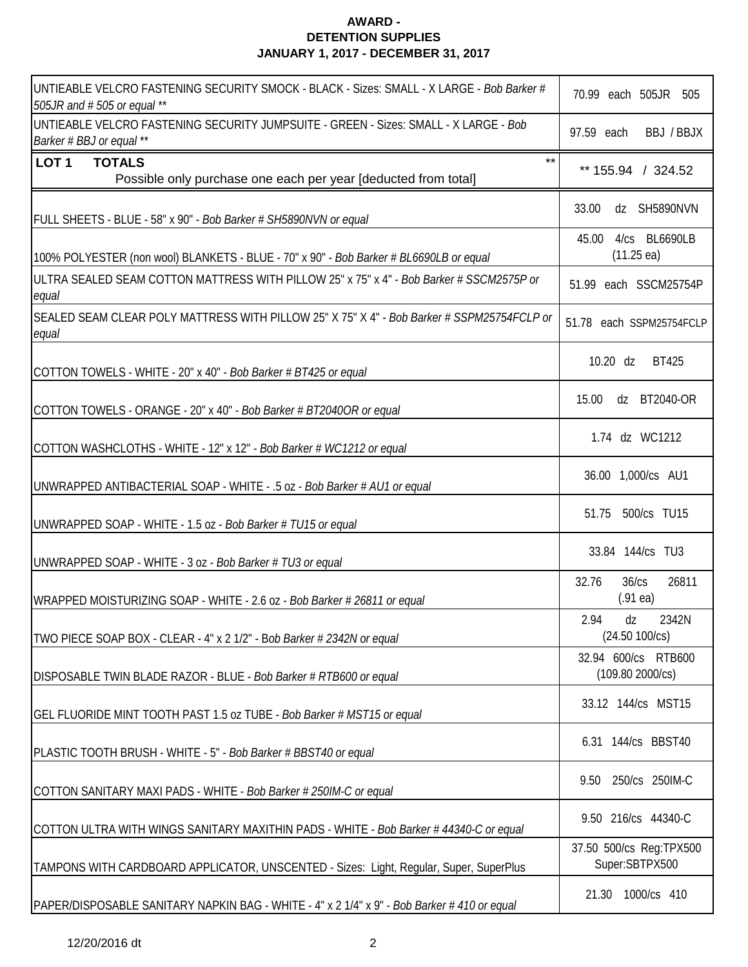| UNTIEABLE VELCRO FASTENING SECURITY SMOCK - BLACK - Sizes: SMALL - X LARGE - Bob Barker #<br>505JR and #505 or equal ** | 70.99 each 505JR 505                           |
|-------------------------------------------------------------------------------------------------------------------------|------------------------------------------------|
| UNTIEABLE VELCRO FASTENING SECURITY JUMPSUITE - GREEN - Sizes: SMALL - X LARGE - Bob<br>Barker # BBJ or equal **        | 97.59 each<br>BBJ / BBJX                       |
| $***$<br>LOT <sub>1</sub><br><b>TOTALS</b><br>Possible only purchase one each per year [deducted from total]            | ** 155.94 / 324.52                             |
| FULL SHEETS - BLUE - 58" x 90" - Bob Barker # SH5890NVN or equal                                                        | 33.00<br>dz SH5890NVN                          |
| 100% POLYESTER (non wool) BLANKETS - BLUE - 70" x 90" - Bob Barker # BL6690LB or equal                                  | 4/cs BL6690LB<br>45.00<br>$(11.25 \text{ ea})$ |
| ULTRA SEALED SEAM COTTON MATTRESS WITH PILLOW 25" x 75" x 4" - Bob Barker # SSCM2575P or<br>equal                       | 51.99 each SSCM25754P                          |
| SEALED SEAM CLEAR POLY MATTRESS WITH PILLOW 25" X 75" X 4" - Bob Barker # SSPM25754FCLP or<br>equal                     | 51.78 each SSPM25754FCLP                       |
| COTTON TOWELS - WHITE - 20" x 40" - Bob Barker # BT425 or equal                                                         | 10.20 dz<br><b>BT425</b>                       |
| COTTON TOWELS - ORANGE - 20" x 40" - Bob Barker # BT2040OR or equal                                                     | dz BT2040-OR<br>15.00                          |
| COTTON WASHCLOTHS - WHITE - 12" x 12" - Bob Barker # WC1212 or equal                                                    | 1.74 dz WC1212                                 |
| UNWRAPPED ANTIBACTERIAL SOAP - WHITE - .5 oz - Bob Barker # AU1 or equal                                                | 36.00 1,000/cs AU1                             |
| UNWRAPPED SOAP - WHITE - 1.5 oz - Bob Barker # TU15 or equal                                                            | 51.75 500/cs TU15                              |
| UNWRAPPED SOAP - WHITE - 3 oz - Bob Barker # TU3 or equal                                                               | 33.84 144/cs TU3                               |
| WRAPPED MOISTURIZING SOAP - WHITE - 2.6 oz - Bob Barker # 26811 or equal                                                | 32.76<br>36/cs<br>26811<br>(.91ea)             |
| TWO PIECE SOAP BOX - CLEAR - 4" x 2 1/2" - Bob Barker # 2342N or equal                                                  | 2.94<br>2342N<br>dz<br>(24.50 100/cs)          |
| DISPOSABLE TWIN BLADE RAZOR - BLUE - Bob Barker # RTB600 or equal                                                       | 32.94 600/cs RTB600<br>(109.80 2000/cs)        |
| GEL FLUORIDE MINT TOOTH PAST 1.5 oz TUBE - Bob Barker # MST15 or equal                                                  | 33.12 144/cs MST15                             |
| PLASTIC TOOTH BRUSH - WHITE - 5" - Bob Barker # BBST40 or equal                                                         | 6.31 144/cs BBST40                             |
| COTTON SANITARY MAXI PADS - WHITE - Bob Barker # 250IM-C or equal                                                       | 250/cs 250IM-C<br>9.50                         |
| COTTON ULTRA WITH WINGS SANITARY MAXITHIN PADS - WHITE - Bob Barker # 44340-C or equal                                  | 9.50 216/cs 44340-C                            |
| TAMPONS WITH CARDBOARD APPLICATOR, UNSCENTED - Sizes: Light, Regular, Super, SuperPlus                                  | 37.50 500/cs Reg:TPX500<br>Super:SBTPX500      |
| PAPER/DISPOSABLE SANITARY NAPKIN BAG - WHITE - 4" x 2 1/4" x 9" - Bob Barker # 410 or equal                             | 1000/cs 410<br>21.30                           |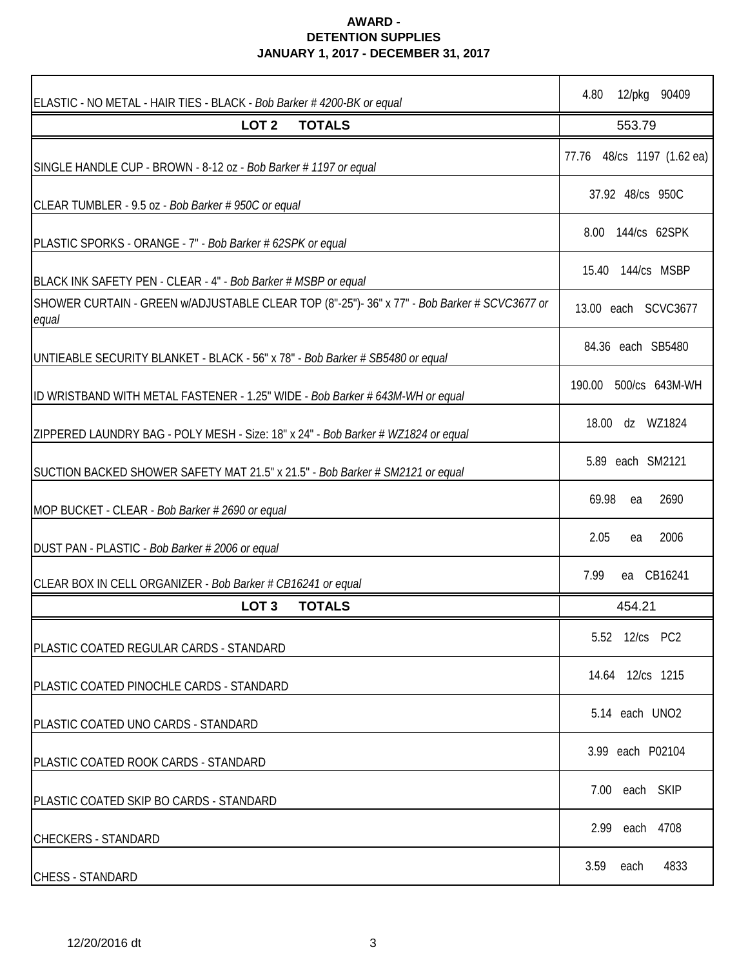| ELASTIC - NO METAL - HAIR TIES - BLACK - Bob Barker #4200-BK or equal                                 | 12/pkg 90409<br>4.80          |
|-------------------------------------------------------------------------------------------------------|-------------------------------|
| LOT <sub>2</sub><br><b>TOTALS</b>                                                                     | 553.79                        |
| SINGLE HANDLE CUP - BROWN - 8-12 oz - Bob Barker # 1197 or equal                                      | 48/cs 1197 (1.62 ea)<br>77.76 |
| CLEAR TUMBLER - 9.5 oz - Bob Barker # 950C or equal                                                   | 37.92 48/cs 950C              |
| PLASTIC SPORKS - ORANGE - 7" - Bob Barker # 62SPK or equal                                            | 8.00 144/cs 62SPK             |
| BLACK INK SAFETY PEN - CLEAR - 4" - Bob Barker # MSBP or equal                                        | 15.40 144/cs MSBP             |
| SHOWER CURTAIN - GREEN w/ADJUSTABLE CLEAR TOP (8"-25")- 36" x 77" - Bob Barker # SCVC3677 or<br>equal | 13.00 each SCVC3677           |
| UNTIEABLE SECURITY BLANKET - BLACK - 56" x 78" - Bob Barker # SB5480 or equal                         | 84.36 each SB5480             |
| ID WRISTBAND WITH METAL FASTENER - 1.25" WIDE - Bob Barker # 643M-WH or equal                         | 190.00 500/cs 643M-WH         |
| ZIPPERED LAUNDRY BAG - POLY MESH - Size: 18" x 24" - Bob Barker # WZ1824 or equal                     | 18.00 dz WZ1824               |
| SUCTION BACKED SHOWER SAFETY MAT 21.5" x 21.5" - Bob Barker # SM2121 or equal                         | 5.89 each SM2121              |
| MOP BUCKET - CLEAR - Bob Barker # 2690 or equal                                                       | 69.98<br>2690<br>ea           |
| DUST PAN - PLASTIC - Bob Barker # 2006 or equal                                                       | 2.05<br>2006<br>ea            |
| CLEAR BOX IN CELL ORGANIZER - Bob Barker # CB16241 or equal                                           | ea CB16241<br>7.99            |
| <b>TOTALS</b><br>LOT <sub>3</sub>                                                                     | 454.21                        |
| PLASTIC COATED REGULAR CARDS - STANDARD                                                               | 5.52 12/cs PC2                |
| PLASTIC COATED PINOCHLE CARDS - STANDARD                                                              | 14.64 12/cs 1215              |
| PLASTIC COATED UNO CARDS - STANDARD                                                                   | 5.14 each UNO2                |
| PLASTIC COATED ROOK CARDS - STANDARD                                                                  | 3.99 each P02104              |
| PLASTIC COATED SKIP BO CARDS - STANDARD                                                               | 7.00 each SKIP                |
| <b>CHECKERS - STANDARD</b>                                                                            | each 4708<br>2.99             |
| <b>CHESS - STANDARD</b>                                                                               | 3.59<br>4833<br>each          |